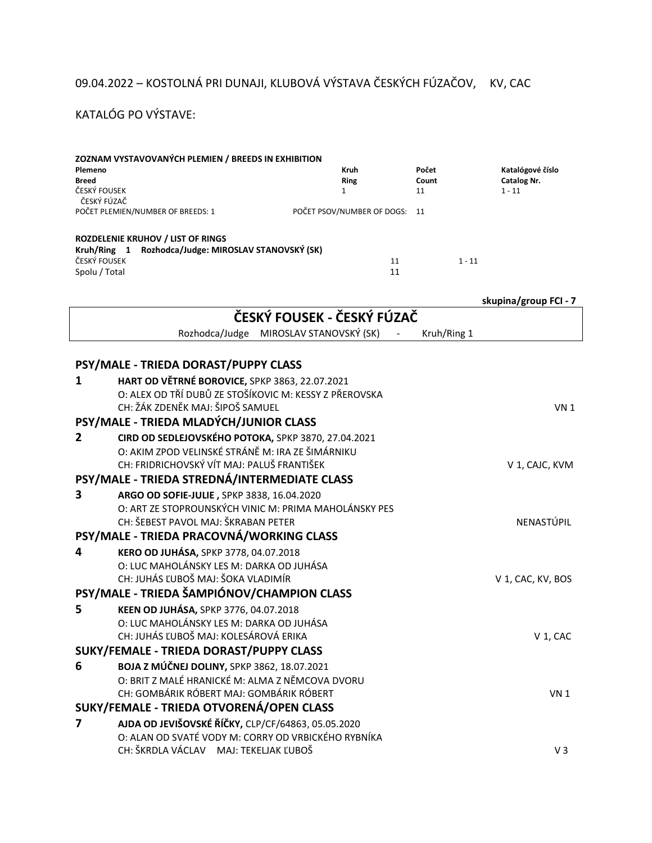## 09.04.2022 – KOSTOLNÁ PRI DUNAJI, KLUBOVÁ VÝSTAVA ČESKÝCH FÚZAČOV, KV, CAC

## KATALÓG PO VÝSTAVE:

| Plemeno<br><b>Breed</b><br>ČESKÝ FOUSEK<br>ČESKÝ FÚZAČ                | ZOZNAM VYSTAVOVANÝCH PLEMIEN / BREEDS IN EXHIBITION                                                       | Kruh<br><b>Ring</b><br>$\mathbf{1}$    |    | Počet<br>Count<br>11 |  | Katalógové číslo<br><b>Catalog Nr.</b><br>$1 - 11$ |  |  |
|-----------------------------------------------------------------------|-----------------------------------------------------------------------------------------------------------|----------------------------------------|----|----------------------|--|----------------------------------------------------|--|--|
| POČET PLEMIEN/NUMBER OF BREEDS: 1<br>POČET PSOV/NUMBER OF DOGS:<br>11 |                                                                                                           |                                        |    |                      |  |                                                    |  |  |
|                                                                       | <b>ROZDELENIE KRUHOV / LIST OF RINGS</b>                                                                  |                                        |    |                      |  |                                                    |  |  |
| ČESKÝ FOUSEK                                                          | Kruh/Ring 1 Rozhodca/Judge: MIROSLAV STANOVSKÝ (SK)                                                       | 11                                     |    | $1 - 11$             |  |                                                    |  |  |
| Spolu / Total                                                         |                                                                                                           |                                        | 11 |                      |  |                                                    |  |  |
|                                                                       |                                                                                                           |                                        |    |                      |  |                                                    |  |  |
|                                                                       |                                                                                                           |                                        |    |                      |  | skupina/group FCI - 7                              |  |  |
| ČESKÝ FOUSEK - ČESKÝ FÚZAČ                                            |                                                                                                           |                                        |    |                      |  |                                                    |  |  |
|                                                                       |                                                                                                           | Rozhodca/Judge MIROSLAV STANOVSKÝ (SK) |    | Kruh/Ring 1          |  |                                                    |  |  |
|                                                                       |                                                                                                           |                                        |    |                      |  |                                                    |  |  |
|                                                                       | PSY/MALE - TRIEDA DORAST/PUPPY CLASS                                                                      |                                        |    |                      |  |                                                    |  |  |
| 1                                                                     | HART OD VĚTRNÉ BOROVICE, SPKP 3863, 22.07.2021                                                            |                                        |    |                      |  |                                                    |  |  |
|                                                                       | O: ALEX OD TŘÍ DUBŮ ZE STOŠÍKOVIC M: KESSY Z PŘEROVSKA                                                    |                                        |    |                      |  |                                                    |  |  |
|                                                                       | CH: ŽÁK ZDENĚK MAJ: ŠIPOŠ SAMUEL                                                                          |                                        |    |                      |  | VN <sub>1</sub>                                    |  |  |
|                                                                       | PSY/MALE - TRIEDA MLADÝCH/JUNIOR CLASS                                                                    |                                        |    |                      |  |                                                    |  |  |
| 2                                                                     | CIRD OD SEDLEJOVSKÉHO POTOKA, SPKP 3870, 27.04.2021<br>O: AKIM ZPOD VELINSKÉ STRÁNĚ M: IRA ZE ŠIMÁRNIKU   |                                        |    |                      |  |                                                    |  |  |
|                                                                       | CH: FRIDRICHOVSKÝ VÍT MAJ: PALUŠ FRANTIŠEK                                                                |                                        |    |                      |  | V 1, CAJC, KVM                                     |  |  |
|                                                                       | PSY/MALE - TRIEDA STREDNÁ/INTERMEDIATE CLASS                                                              |                                        |    |                      |  |                                                    |  |  |
| 3                                                                     | ARGO OD SOFIE-JULIE, SPKP 3838, 16.04.2020                                                                |                                        |    |                      |  |                                                    |  |  |
|                                                                       | O: ART ZE STOPROUNSKÝCH VINIC M: PRIMA MAHOLÁNSKY PES                                                     |                                        |    |                      |  |                                                    |  |  |
|                                                                       | CH: ŠEBEST PAVOL MAJ: ŠKRABAN PETER                                                                       |                                        |    |                      |  | NENASTÚPIL                                         |  |  |
|                                                                       | PSY/MALE - TRIEDA PRACOVNÁ/WORKING CLASS                                                                  |                                        |    |                      |  |                                                    |  |  |
| 4                                                                     | KERO OD JUHÁSA, SPKP 3778, 04.07.2018                                                                     |                                        |    |                      |  |                                                    |  |  |
|                                                                       | O: LUC MAHOLÁNSKY LES M: DARKA OD JUHÁSA                                                                  |                                        |    |                      |  |                                                    |  |  |
|                                                                       | CH: JUHÁS ĽUBOŠ MAJ: ŠOKA VLADIMÍR                                                                        |                                        |    |                      |  | V 1, CAC, KV, BOS                                  |  |  |
|                                                                       | PSY/MALE - TRIEDA ŠAMPIÓNOV/CHAMPION CLASS                                                                |                                        |    |                      |  |                                                    |  |  |
| 5                                                                     | KEEN OD JUHÁSA, SPKP 3776, 04.07.2018                                                                     |                                        |    |                      |  |                                                    |  |  |
|                                                                       | O: LUC MAHOLÁNSKY LES M: DARKA OD JUHÁSA                                                                  |                                        |    |                      |  |                                                    |  |  |
|                                                                       | CH: JUHÁS ĽUBOŠ MAJ: KOLESÁROVÁ ERIKA                                                                     |                                        |    |                      |  | V 1, CAC                                           |  |  |
|                                                                       | SUKY/FEMALE - TRIEDA DORAST/PUPPY CLASS                                                                   |                                        |    |                      |  |                                                    |  |  |
| 6                                                                     | <b>BOJA Z MÚČNEJ DOLINY, SPKP 3862, 18.07.2021</b>                                                        |                                        |    |                      |  |                                                    |  |  |
|                                                                       | O: BRIT Z MALÉ HRANICKÉ M: ALMA Z NĚMCOVA DVORU<br>CH: GOMBÁRIK RÓBERT MAJ: GOMBÁRIK RÓBERT               |                                        |    |                      |  |                                                    |  |  |
|                                                                       |                                                                                                           |                                        |    |                      |  | VN <sub>1</sub>                                    |  |  |
| $\overline{\mathbf{z}}$                                               | SUKY/FEMALE - TRIEDA OTVORENÁ/OPEN CLASS                                                                  |                                        |    |                      |  |                                                    |  |  |
|                                                                       | AJDA OD JEVIŠOVSKÉ ŘÍČKY, CLP/CF/64863, 05.05.2020<br>O: ALAN OD SVATÉ VODY M: CORRY OD VRBICKÉHO RYBNÍKA |                                        |    |                      |  |                                                    |  |  |
|                                                                       | CH: ŠKRDLA VÁCLAV MAJ: TEKELJAK ĽUBOŠ                                                                     |                                        |    |                      |  | $V_3$                                              |  |  |
|                                                                       |                                                                                                           |                                        |    |                      |  |                                                    |  |  |